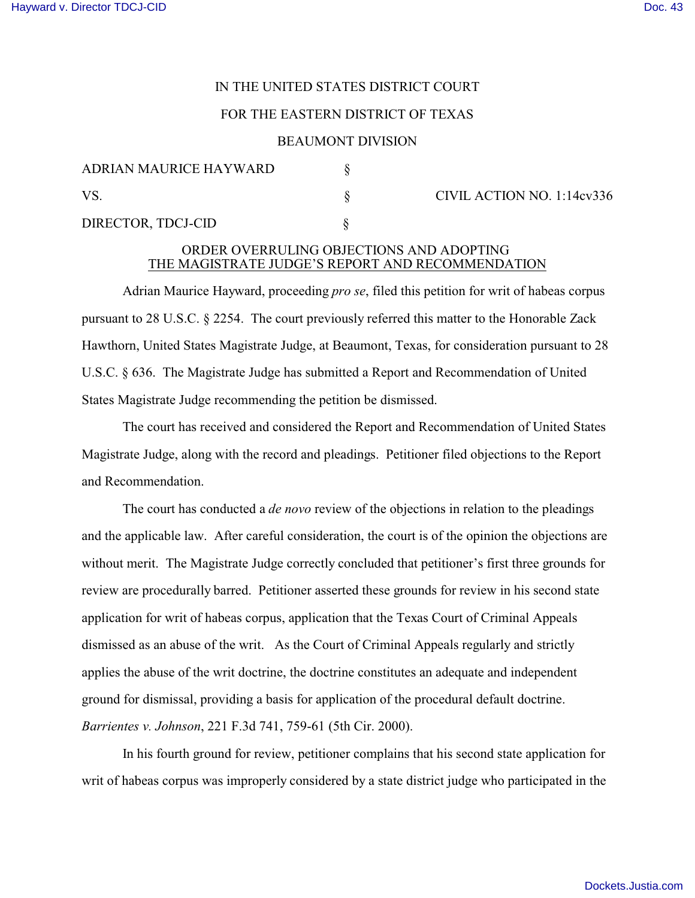# IN THE UNITED STATES DISTRICT COURT

## FOR THE EASTERN DISTRICT OF TEXAS

#### BEAUMONT DIVISION

| <b>ADRIAN MAURICE HAYWARD</b> |  |
|-------------------------------|--|
| VS.                           |  |
| DIRECTOR, TDCJ-CID            |  |

CIVIL ACTION NO. 1:14cv336

## ORDER OVERRULING OBJECTIONS AND ADOPTING THE MAGISTRATE JUDGE'S REPORT AND RECOMMENDATION

Adrian Maurice Hayward, proceeding *pro se*, filed this petition for writ of habeas corpus pursuant to 28 U.S.C. § 2254. The court previously referred this matter to the Honorable Zack Hawthorn, United States Magistrate Judge, at Beaumont, Texas, for consideration pursuant to 28 U.S.C. § 636. The Magistrate Judge has submitted a Report and Recommendation of United States Magistrate Judge recommending the petition be dismissed.

The court has received and considered the Report and Recommendation of United States Magistrate Judge, along with the record and pleadings. Petitioner filed objections to the Report and Recommendation.

The court has conducted a *de novo* review of the objections in relation to the pleadings and the applicable law. After careful consideration, the court is of the opinion the objections are without merit. The Magistrate Judge correctly concluded that petitioner's first three grounds for review are procedurally barred. Petitioner asserted these grounds for review in his second state application for writ of habeas corpus, application that the Texas Court of Criminal Appeals dismissed as an abuse of the writ. As the Court of Criminal Appeals regularly and strictly applies the abuse of the writ doctrine, the doctrine constitutes an adequate and independent ground for dismissal, providing a basis for application of the procedural default doctrine. *Barrientes v. Johnson*, 221 F.3d 741, 759-61 (5th Cir. 2000).

In his fourth ground for review, petitioner complains that his second state application for writ of habeas corpus was improperly considered by a state district judge who participated in the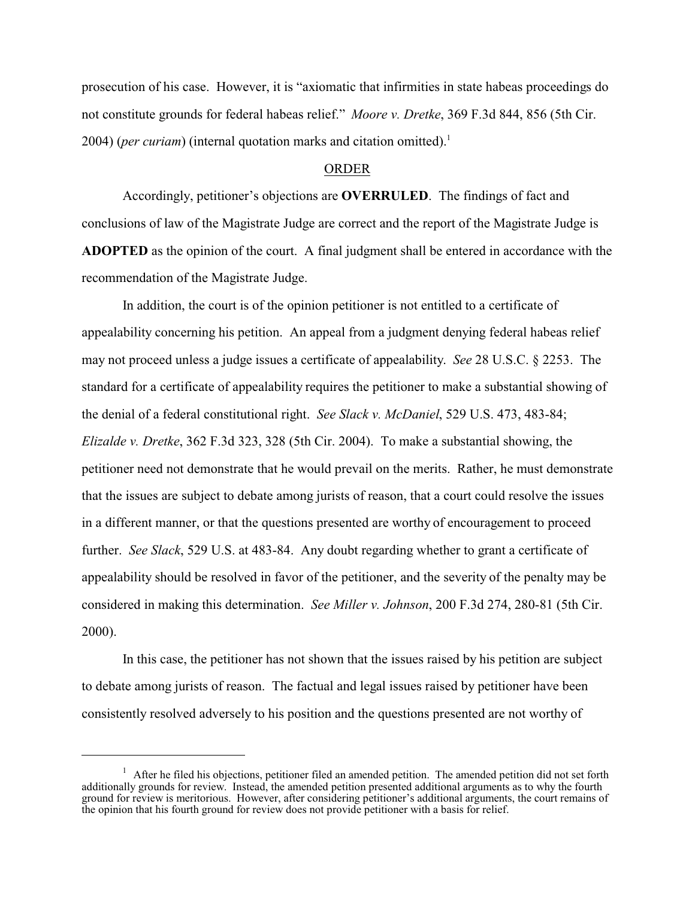prosecution of his case. However, it is "axiomatic that infirmities in state habeas proceedings do not constitute grounds for federal habeas relief." *Moore v. Dretke*, 369 F.3d 844, 856 (5th Cir. 2004) (*per curiam*) (internal quotation marks and citation omitted).<sup>1</sup>

# ORDER

Accordingly, petitioner's objections are **OVERRULED**. The findings of fact and conclusions of law of the Magistrate Judge are correct and the report of the Magistrate Judge is **ADOPTED** as the opinion of the court. A final judgment shall be entered in accordance with the recommendation of the Magistrate Judge.

In addition, the court is of the opinion petitioner is not entitled to a certificate of appealability concerning his petition. An appeal from a judgment denying federal habeas relief may not proceed unless a judge issues a certificate of appealability. *See* 28 U.S.C. § 2253. The standard for a certificate of appealability requires the petitioner to make a substantial showing of the denial of a federal constitutional right. *See Slack v. McDaniel*, 529 U.S. 473, 483-84; *Elizalde v. Dretke*, 362 F.3d 323, 328 (5th Cir. 2004). To make a substantial showing, the petitioner need not demonstrate that he would prevail on the merits. Rather, he must demonstrate that the issues are subject to debate among jurists of reason, that a court could resolve the issues in a different manner, or that the questions presented are worthy of encouragement to proceed further. *See Slack*, 529 U.S. at 483-84. Any doubt regarding whether to grant a certificate of appealability should be resolved in favor of the petitioner, and the severity of the penalty may be considered in making this determination. *See Miller v. Johnson*, 200 F.3d 274, 280-81 (5th Cir. 2000).

In this case, the petitioner has not shown that the issues raised by his petition are subject to debate among jurists of reason. The factual and legal issues raised by petitioner have been consistently resolved adversely to his position and the questions presented are not worthy of

<sup>&</sup>lt;sup>1</sup> After he filed his objections, petitioner filed an amended petition. The amended petition did not set forth additionally grounds for review. Instead, the amended petition presented additional arguments as to why the fourth ground for review is meritorious. However, after considering petitioner's additional arguments, the court remains of the opinion that his fourth ground for review does not provide petitioner with a basis for relief.